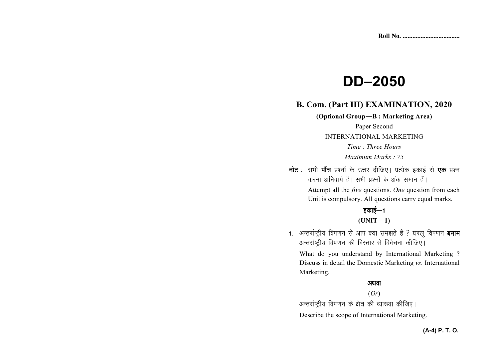# **DD–2050**

# **B. Com. (Part III) EXAMINATION, 2020**

**(Optional Group—B : Marketing Area)** 

Paper Second

INTERNATIONAL MARKETING

*Time : Three Hours* 

*Maximum Marks : 75* 

नोट : सभी पाँच प्रश्नों के उत्तर दीजिए। प्रत्येक इकाई से **एक** प्रश्न करना अनिवार्य है। सभी प्रश्नों के अंक समान हैं। Attempt all the *five* questions. *One* question from each

Unit is compulsory. All questions carry equal marks.

# डकाई $-1$

## **(UNIT—1)**

1. अन्तर्राष्ट्रीय विपणन से आप क्या समझते हैं ? घरलू विपणन **बनाम** अन्तर्राष्टीय विपणन की विस्तार से विवेचना कीजिए।

What do you understand by International Marketing ?Discuss in detail the Domestic Marketing *vs*. International Marketing.

#### अथवा

#### (*Or*)

अन्तर्राष्ट्रीय विपणन के क्षेत्र की व्याख्या कीजिए।

Describe the scope of International Marketing.